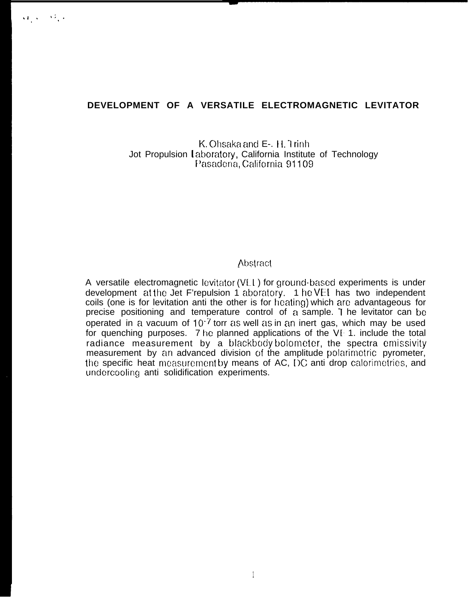$\mathcal{O}(\sqrt{1-\lambda^2})$  .

# **DEVELOPMENT OF A VERSATILE ELECTROMAGNETIC LEVITATOR**

K. Ohsaka and E-. H. Trinh Jot Propulsion [ aboratory, California Institute of Technology Pasadena, California 91109

#### **Abstract**

A versatile electromagnetic levitator (VEL) for ground-based experiments is under development at the Jet F'repulsion 1 aboratory. 1 he VEI has two independent coils (one is for levitation anti the other is for heating) which are advantageous for precise positioning and temperature control of a sample. 1 he levitator can be operated in a vacuum of  $10^{-7}$  torr as well as in an inert gas, which may be used for quenching purposes. 7 he planned applications of the VI 1. include the total radiance measurement by a blackbody bolometer, the spectra emissivity measurement by an advanced division of the amplitude polarimetric pyrometer, the specific heat measurement by means of AC, DC anti drop calorimetries, and undcrcooling anti solidification experiments.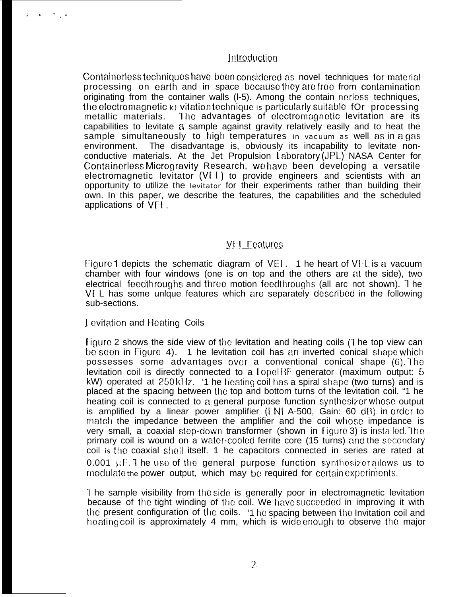#### Introduction

Containerless techniques have been considered as novel techniques for material processing on earth and in space because they are free from contamination originating from the container walls (I-5). Among the contain nerless techniques, the electromagnetic **k**) vitation technique is particularly suitable fOr processing The advantages of electromagnetic levitation are its metallic materials. capabilities to levitate a sample against gravity relatively easily and to heat the sample simultaneously to high temperatures in vacuum as well as in a gas environment. The disadvantage is, obviously its incapability to levitate nonconductive materials. At the Jet Propulsion Laboratory (JPL) NASA Center for Containerless Microgravity Research, we have been developing a versatile electromagnetic levitator (VEL) to provide engineers and scientists with an opportunity to utilize the levitator for their experiments rather than building their own. In this paper, we describe the features, the capabilities and the scheduled applications of VEL.

#### **VEL Features**

Figure 1 depicts the schematic diagram of VEL. 1 he heart of VEL is a vacuum chamber with four windows (one is on top and the others are at the side), two electrical feedthroughs and three motion feedthroughs (all arc not shown). The VI L has some unique features which are separately described in the following sub-sections.

Levitation and Heating Coils

 $\mathcal{L} = \{ \mathbf{v}_1, \ldots, \mathbf{v}_{n-1} \}$  .

Figure 2 shows the side view of the levitation and heating coils (1 he top view can be seen in Figure 4). 1 he levitation coil has an inverted conical shape which possesses some advantages over a conventional conical shape (6). The levitation coil is directly connected to a LopelRF generator (maximum output: 5 kW) operated at 250 kHz. '1 he heating coil has a spiral shape (two turns) and is placed at the spacing between the top and bottom turns of the levitation coil. "1 he heating coil is connected to a general purpose function synthesizer whose output is amplified by a linear power amplifier (FNI A-500, Gain: 60 dB) in order to match the impedance between the amplifier and the coil whose impedance is very small, a coaxial step-down transformer (shown in Figure 3) is installed. The primary coil is wound on a water-cooled ferrite core (15 turns) and the secondary coil is the coaxial shell itself. 1 he capacitors connected in series are rated at  $0.001$   $\mu$ F. The use of the general purpose function synthesizer allows us to modulate the power output, which may be required for certain experiments.

I he sample visibility from the side is generally poor in electromagnetic levitation because of the tight winding of the coil. We have succeeded in improving it with the present configuration of the coils. '1 he spacing between the Invitation coil and heating coil is approximately 4 mm, which is wide enough to observe the major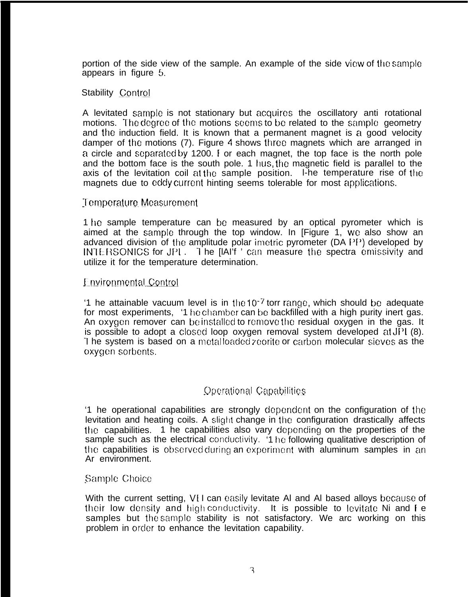portion of the side view of the sample. An example of the side view of the sample appears in figure 5.

#### Stability Control

A levitated sample is not stationary but acquires the oscillatory anti rotational motions. The degree of the motions seems to be related to the sample geometry and the induction field. It is known that a permanent magnet is a good velocity damper of the motions (7). Figure 4 shows three magnets which are arranged in a circle and separated by 1200. F or each magnet, the top face is the north pole and the bottom face is the south pole. 1 hus, the magnetic field is parallel to the axis of the levitation coil at the sample position. I-he temperature rise of the magnets due to eddy current hinting seems tolerable for most applications.

## Temperature. Measurement

1 he sample temperature can be measured by an optical pyrometer which is aimed at the sample through the top window. In [Figure 1, we also show an advanced division of the amplitude polar imetric pyrometer (DA f'f)) developed by INTERSONICS for JP $l$ . The [IAI'f ' can measure the spectra emissivity and utilize it for the temperature determination.

## **Environmental Control**

'1 he attainable vacuum level is in the  $10^{-7}$  torr range, which should be adequate for most experiments, '1 he chamber can be backfilled with a high purity inert gas. An oxygen remover can be installed to remove the residual oxygen in the gas. It is possible to adopt a closed loop oxygen removal system developed at JP1 (8). 1 he system is based on a metal loaded zcorite or carbon molecular sieves as the oxygen sorbents.

# Operational Capabilities

'1 he operational capabilities are strongly dependent on the configuration of the levitation and heating coils. A slight change in the configuration drastically affects the capabilities. 1 he capabilities also vary depending on the properties of the sample such as the electrical conductivity. '1 he following qualitative description of the capabilities is observed during an experiment with aluminum samples in an Ar environment.

#### Sample Choice

With the current setting, VI I can easily levitate AI and AI based alloys because of their low density and high conductivity. It is possible to levitate Ni and F e samples but the sample stability is not satisfactory. We arc working on this problem in order to enhance the levitation capability.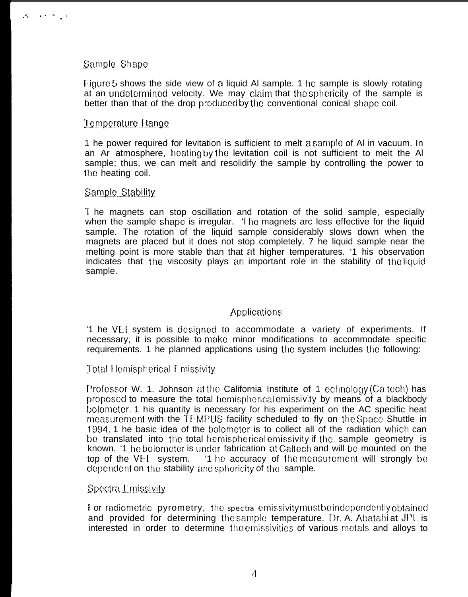# Sample Shape

figure 5 shows the side view of a liquid Al sample. 1 he sample is slowly rotating at an undetermined velocity. We may claim that the sphericity of the sample is better than that of the drop produced by the conventional conical shape coil.

## Temperature Range

1 he power required for levitation is sufficient to melt a sample of AI in vacuum. In an Ar atmosphere, heating by the levitation coil is not sufficient to melt the Al sample; thus, we can melt and resolidify the sample by controlling the power to the heating coil.

## **Sample Stability**

1 he magnets can stop oscillation and rotation of the solid sample, especially when the sample shape is irregular. 'I he magnets arc less effective for the liquid sample. The rotation of the liquid sample considerably slows down when the magnets are placed but it does not stop completely. 7 he liquid sample near the melting point is more stable than that at higher temperatures. '1 his observation indicates that the viscosity plays an important role in the stability of the liquid sample.

# Applications

'1 he V[.1 system is ciesigned to accommodate a variety of experiments. If necessary, it is possible to make minor modifications to accommodate specific requirements. 1 he planned applications using the system includes the following:

## Total Hemispherical Emissivity

Professor W. 1. Johnson at the California Institute of 1 echnology (Caltech) has proposed to measure the total hemispherical emissivity by means of a blackbody bolometer. 1 his quantity is necessary for his experiment on the AC specific heat measurement with the TEMPUS facility scheduled to fly on the Space Shuttle in 1994. 1 he basic idea of the bolometer is to collect all of the radiation which can be translated into the total hemispherical emissivity if the sample geometry is known. '1 he bolometer is under fabrication at Caltech and will be mounted on the top of the VEL system. '1 he accuracy of the measurement will strongly be dependent on the stability and sphericity of the sample.

## Spectra Emissivity

For radiometric pyrometry, the spectra emissivity must be independently obtained and provided for determining the sample temperature. Dr. A. Abatahi at JPL is interested in order to determine the emissivities of various metals and alloys to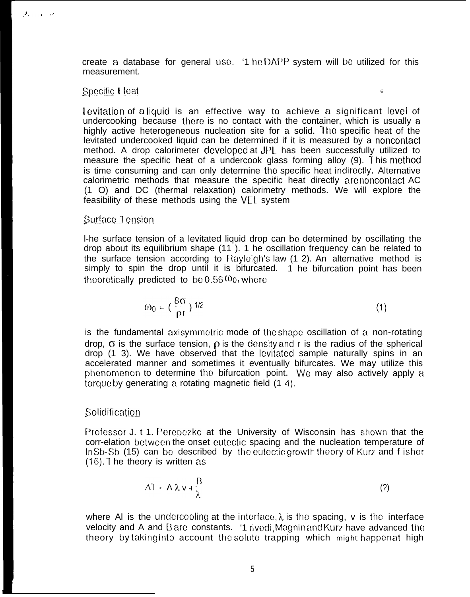create a database for general use. '1 he DAPP system will be utilized for this measurement.

#### Specific Heat (2008) Specific the state of the state of the state of the state of the state of the state of the state of the state of the state of the state of the state of the state of the state of the state of the state

 $\mathcal{A}$ ,  $\mathcal{A}$ 

<sup>I</sup> ovitation of a liquid is an effective way to achieve a significant level of undercooking because there is no contact with the container, which is usually a highly active heterogeneous nucleation site for a solid. The specific heat of the levitated undercooked liquid can be determined if it is measured by a noncontact method. A drop calorimeter developod at JP1. has been successfully utilized to measure the specific heat of a undercook glass forming alloy (9). I his method is time consuming and can only determine the specific heat inciirectly. Alternative calorimetric methods that measure the specific heat directly are noncontact AC (1 O) and DC (thermal relaxation) calorimetry methods. We will explore the feasibility of these methods using the VEL system

#### Surface Tension

l-he surface tension of a levitated liquid drop can be determined by oscillating the drop about its equilibrium shape (11 ). 1 he oscillation frequency can be related to the surface tension according to Rayleigh's law (1 2). An alternative method is simply to spin the drop until it is bifurcated. 1 he bifurcation point has been theoretically predicted to be  $0.56 \, \omega_0$ , where

$$
\omega_0 = \left(\frac{8\sigma}{\rho r}\right)^{1/2} \tag{1}
$$

is the fundamental axisymmetric mode of the shape oscillation of a non-rotating drop,  $\sigma$  is the surface tension,  $\rho$  is the density and r is the radius of the spherical drop (1 3). We have observed that the Icvitated sample naturally spins in an accelerated manner and sometimes it eventually bifurcates. We may utilize this phenomenon to determine the bifurcation point. We may also actively apply a torque by generating a rotating magnetic field  $(1 4)$ .

#### Solidification

Professor J. t 1. Perepezko at the University of Wisconsin has shown that the corr-elation between the onset eutectic spacing and the nucleation temperature of InSb-Sb (15) can be described by the eutectic growth theory of Kurz and f isher (16). 1 he theory is written as

$$
\Delta T = \Delta \lambda v + \frac{B}{\lambda}
$$
 (?)

where AI is the undercooling at the interface,  $\lambda$  is the spacing, v is the interface velocity and A and  $B$  are constants. '1 rivedi, Magnin and Kurz have advanced the theory by taking into account the solute trapping which might happen at high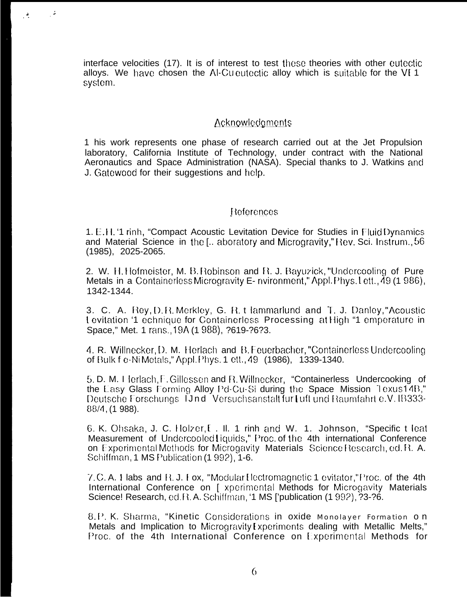interface velocities (17). It is of interest to test these theories with other eutectic alloys. We have chosen the Al-Cu eutectic alloy which is suitable for the VE 1 system.

 $\mathcal{A}^{\text{max}}_{\text{max}}$ 

#### **Acknowledgments**

1 his work represents one phase of research carried out at the Jet Propulsion laboratory, California Institute of Technology, under contract with the National Aeronautics and Space Administration (NASA). Special thanks to J. Watkins and J. Gatewood for their suggestions and help.

#### References

1. E.H. '1 rinh, "Compact Acoustic Levitation Device for Studies in Fluid Dynamics and Material Science in the [.. aboratory and Microgravity," Rev. Sci. Instrum., 56  $(1985), 2025 - 2065.$ 

2. W. H. Hofmeister, M. B. Robinson and R. J. Bayuzick, "Undercooling of Pure Metals in a Containerless Microgravity E- nvironment," Appl. Phys. Lett., 49 (1986), 1342-1344.

3. C. A. Rey, D. R. Merkley, G. R. t lammarlund and T. J. Danley, "Acoustic Levitation '1 echnique for Containerless Processing at High "1 emperature in Space," Met. 1 rans. 19A (1 988), ?619-?6?3.

4. R. Willnecker, D. M. Herlach and B. Feuerbacher, "Containerless Undercooling of Bulk f e-Ni Metals," Appl. Phys. 1 ett., 49 (1986), 1339-1340.

5. D. M. Herlach, F. Gillessen and R. Willnecker, "Containerless Undercooking of the Easy Glass Forming Alloy Pd-Cu-Si during the Space Mission Texus14B," Deutsche Forschungs IJnd Versuchsanstalt fur Luft und Raumfahrt e.V. IB333-88/4, (1 988).

6. K. Ohsaka, J. C. Holzer, E. II. 1 rinh and W. 1. Johnson, "Specific t leat Measurement of Undercooled Liquids," Proc. of the 4th international Conference on Experimental Methods for Microgavity Materials Science Research, ed. R. A. Schiffman, 1 MS Publication (1 992), 1-6.

7. C. A. Habs and R. J. Fox, "Modular Electromagnetic 1 evitator," Proc. of the 4th International Conference on [ xperimental Methods for Microgavity Materials Science! Research, ed.R.A. Schiffman, '1 MS ['publication (1992), ?3-?6.

8.P. K. Sharma, "Kinetic Considerations in oxide Monolayer Formation on Metals and Implication to Microgravity Experiments dealing with Metallic Melts," Proc. of the 4th International Conference on Experimental Methods for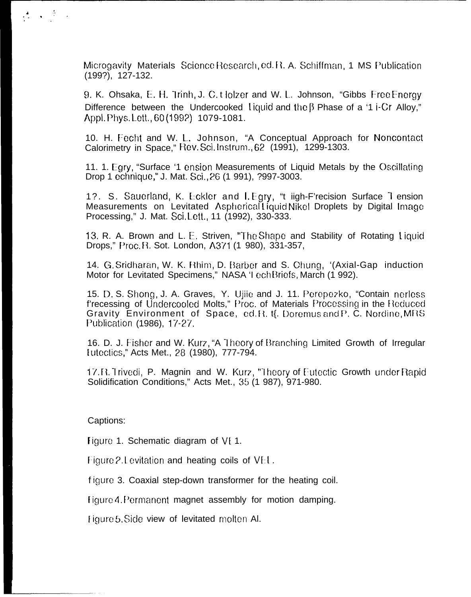Microgavity Materials Science Research, ed. R. A. Schiffman, 1 MS Publication  $(199?)$ , 127-132.

9. K. Ohsaka, E. H. Trinh, J. C. t lolzer and W. L. Johnson, "Gibbs Free Energy Difference between the Undercooked Liquid and the B Phase of a '1 i-Cr Alloy," Appl. Phys. Lett., 60 (1992) 1079-1081.

10. H. Fecht and W. L. Johnson, "A Conceptual Approach for Noncontact Calorimetry in Space," Rev. Sci. Instrum., 62 (1991), 1299-1303.

11. 1. Egry, "Surface '1 ension Measurements of Liquid Metals by the Oscillating Drop 1 echnique," J. Mat. Sci., 26 (1 991), ?997-3003.

1?. S. Sauerland, K. Eckler and I. Egry, "t iigh-F'recision Surface 1 ension Measurements on Levitated Aspherical Liquid Nikel Droplets by Digital Image Processing," J. Mat. Sci. Lett., 11 (1992), 330-333.

13. R. A. Brown and L. E. Striven, "The Shape and Stability of Rotating Liquid Drops," Proc. R. Sot. London, A371 (1 980), 331-357,

14. G. Sridharan, W. K. Rhim, D. Barber and S. Chung, '(Axial-Gap induction Motor for Levitated Specimens," NASA 'I ech Briefs, March (1 992).

15. D. S. Shong, J. A. Graves, Y. Ujije and J. 11. Perepezko, "Contain nerless frecessing of Undercooled Molts," Proc. of Materials Processing in the Reduced Gravity Environment of Space, ed. R. t. Doremus and P. C. Nordine, MRS Publication (1986), 17-27.

16. D. J. Fisher and W. Kurz, "A Theory of Branching Limited Growth of Irregular Iutectics," Acts Met., 28 (1980), 777-794.

17. R. Trivedi, P. Magnin and W. Kurz, "Theory of Eutectic Growth under Rapid Solidification Conditions," Acts Met., 35 (1 987), 971-980.

Captions:

 $\mathcal{A}=\mathcal{A}=\mathcal{B}=\mathcal{A}$ 

Figure 1. Schematic diagram of VL1.

Figure 2.1 evitation and heating coils of VEL.

figure 3. Coaxial step-down transformer for the heating coil.

Figure 4. Permanent magnet assembly for motion damping.

Figure 5. Side view of levitated molten Al.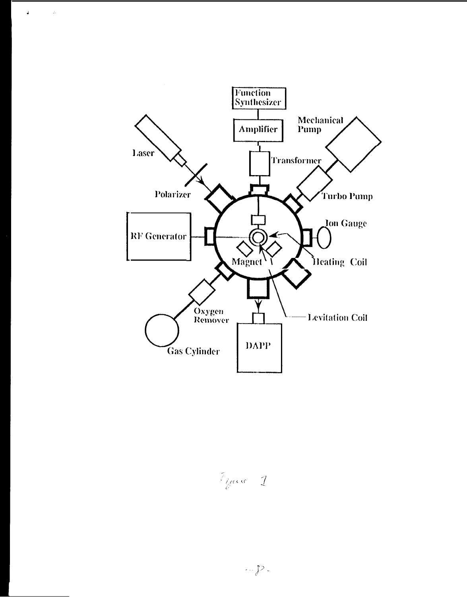

 $\Delta_{\rm{eff}}$ 

 $\sim 10^{11}$ 

# Figure 1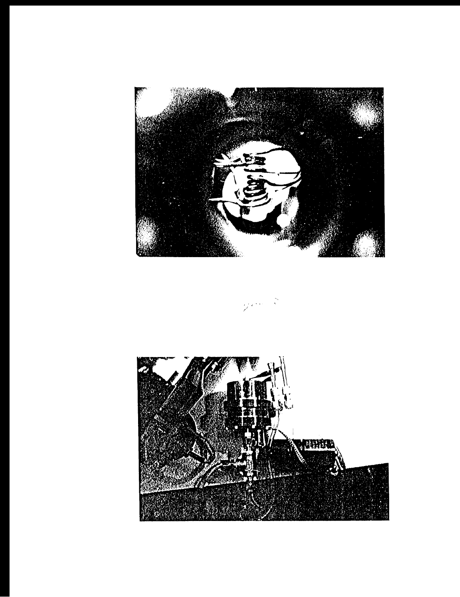